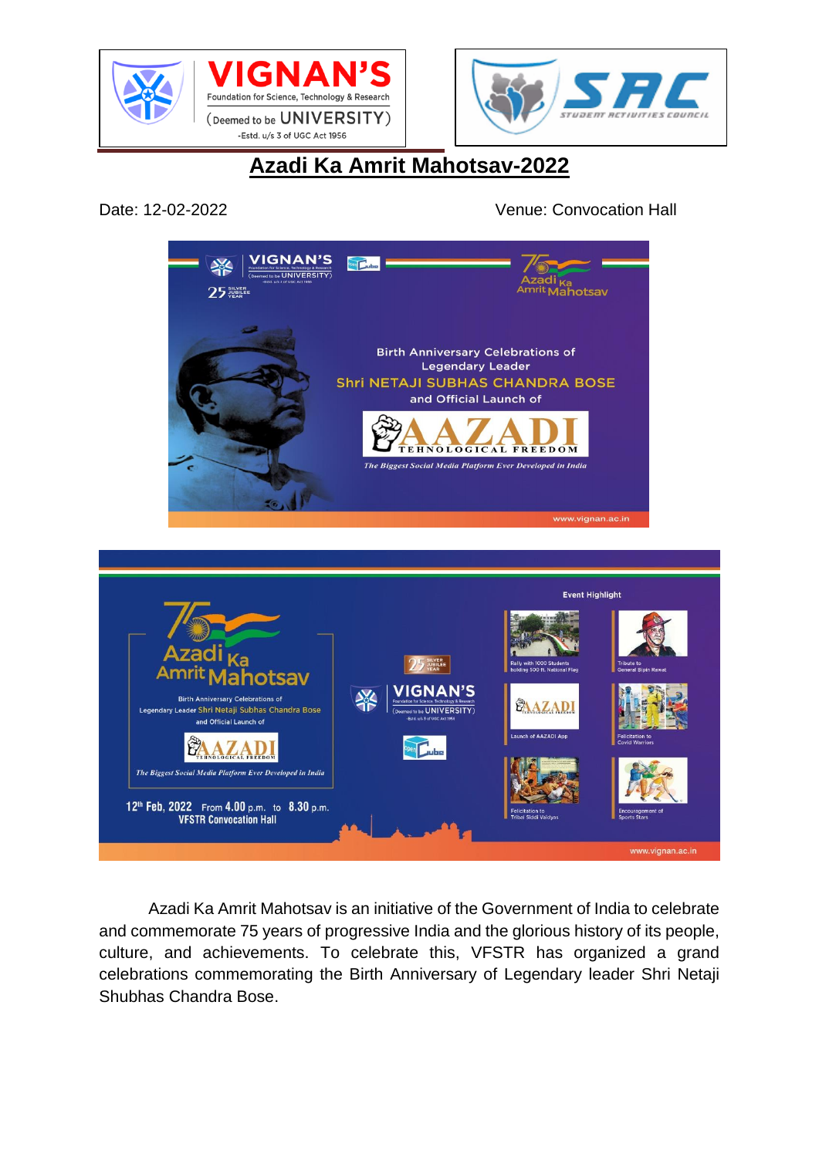





## **Azadi Ka Amrit Mahotsav-2022**

Date: 12-02-2022 Venue: Convocation Hall



Azadi Ka Amrit Mahotsav is an initiative of the Government of India to celebrate and commemorate 75 years of progressive India and the glorious history of its people, culture, and achievements. To celebrate this, VFSTR has organized a grand celebrations commemorating the Birth Anniversary of Legendary leader Shri Netaji Shubhas Chandra Bose.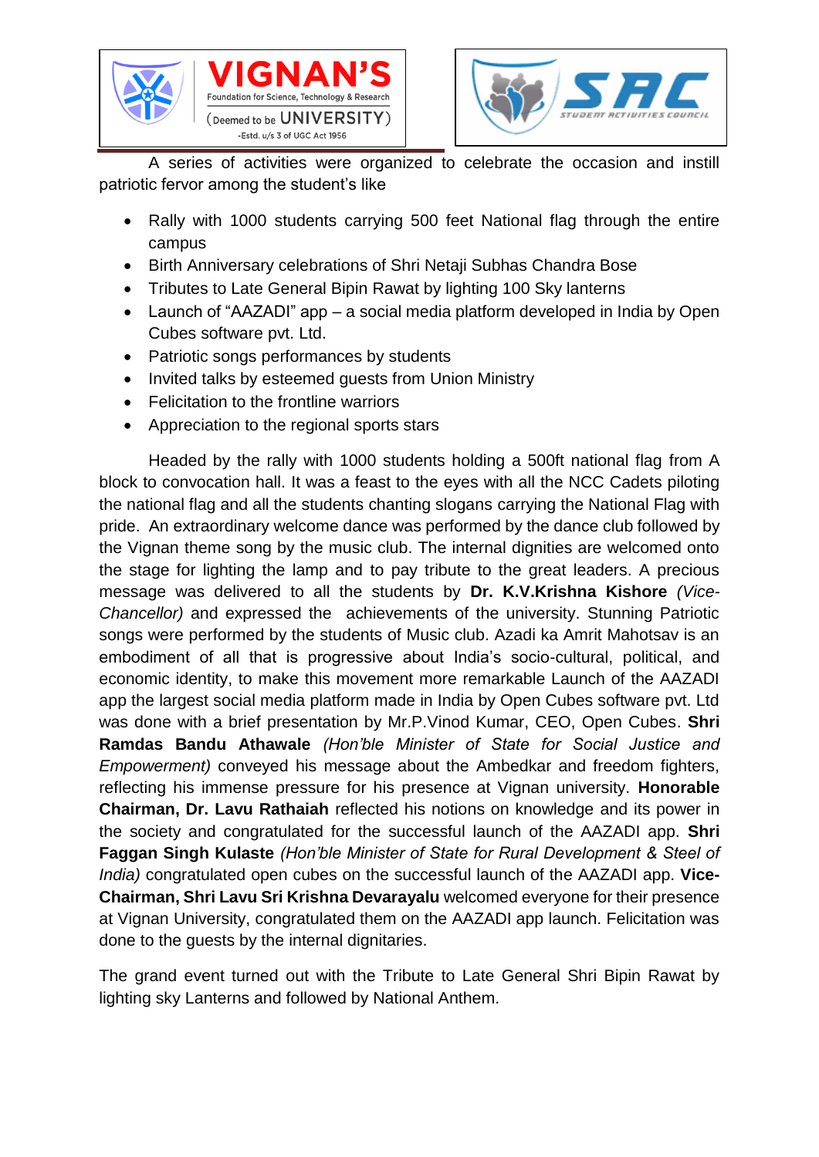





A series of activities were organized to celebrate the occasion and instill patriotic fervor among the student's like

- Rally with 1000 students carrying 500 feet National flag through the entire campus
- Birth Anniversary celebrations of Shri Netaji Subhas Chandra Bose
- Tributes to Late General Bipin Rawat by lighting 100 Sky lanterns
- Launch of "AAZADI" app a social media platform developed in India by Open Cubes software pvt. Ltd.
- Patriotic songs performances by students
- Invited talks by esteemed quests from Union Ministry
- Felicitation to the frontline warriors
- Appreciation to the regional sports stars

Headed by the rally with 1000 students holding a 500ft national flag from A block to convocation hall. It was a feast to the eyes with all the NCC Cadets piloting the national flag and all the students chanting slogans carrying the National Flag with pride. An extraordinary welcome dance was performed by the dance club followed by the Vignan theme song by the music club. The internal dignities are welcomed onto the stage for lighting the lamp and to pay tribute to the great leaders. A precious message was delivered to all the students by **Dr. K.V.Krishna Kishore** *(Vice-Chancellor)* and expressed the achievements of the university. Stunning Patriotic songs were performed by the students of Music club. Azadi ka Amrit Mahotsav is an embodiment of all that is progressive about India's socio-cultural, political, and economic identity, to make this movement more remarkable Launch of the AAZADI app the largest social media platform made in India by Open Cubes software pvt. Ltd was done with a brief presentation by Mr.P.Vinod Kumar, CEO, Open Cubes. **Shri Ramdas Bandu Athawale** *(Hon'ble Minister of State for Social Justice and Empowerment)* conveyed his message about the Ambedkar and freedom fighters, reflecting his immense pressure for his presence at Vignan university. **Honorable Chairman, Dr. Lavu Rathaiah** reflected his notions on knowledge and its power in the society and congratulated for the successful launch of the AAZADI app. **Shri Faggan Singh Kulaste** *(Hon'ble Minister of State for Rural Development & Steel of India)* congratulated open cubes on the successful launch of the AAZADI app. **Vice-Chairman, Shri Lavu Sri Krishna Devarayalu** welcomed everyone for their presence at Vignan University, congratulated them on the AAZADI app launch. Felicitation was done to the quests by the internal dignitaries.

The grand event turned out with the Tribute to Late General Shri Bipin Rawat by lighting sky Lanterns and followed by National Anthem.